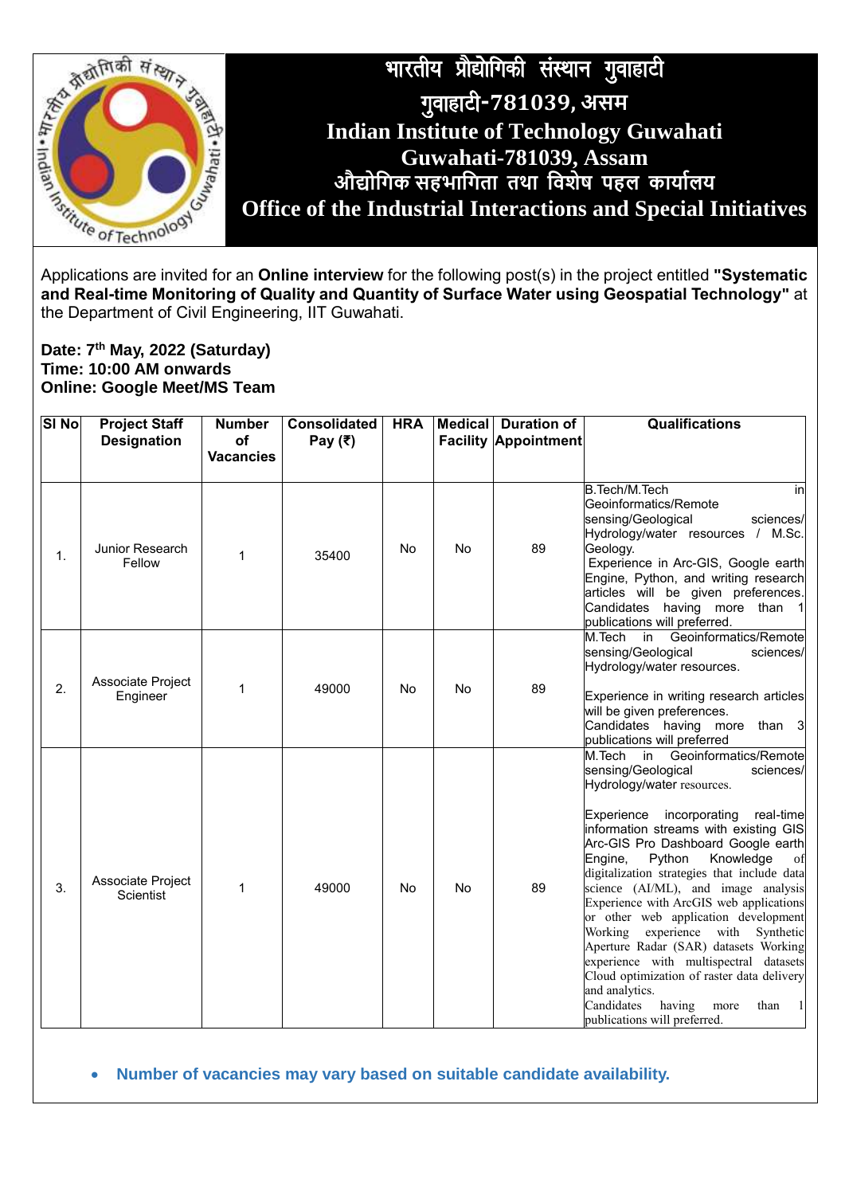

Applications are invited for an **Online interview** for the following post(s) in the project entitled **"Systematic and Real-time Monitoring of Quality and Quantity of Surface Water using Geospatial Technology"** at the Department of Civil Engineering, IIT Guwahati.

## **Date: 7 th May, 2022 (Saturday) Time: 10:00 AM onwards Online: Google Meet/MS Team**

| SI <sub>No</sub> | <b>Project Staff</b>           | <b>Number</b>          | <b>Consolidated</b> | <b>HRA</b> |           | Medical Duration of         | <b>Qualifications</b>                                                                                                                                                                                                                                                                                                                                                                                                                                                                                                                                                                                                                                                                                                 |
|------------------|--------------------------------|------------------------|---------------------|------------|-----------|-----------------------------|-----------------------------------------------------------------------------------------------------------------------------------------------------------------------------------------------------------------------------------------------------------------------------------------------------------------------------------------------------------------------------------------------------------------------------------------------------------------------------------------------------------------------------------------------------------------------------------------------------------------------------------------------------------------------------------------------------------------------|
|                  | <b>Designation</b>             | of<br><b>Vacancies</b> | Pay $(₹)$           |            |           | <b>Facility Appointment</b> |                                                                                                                                                                                                                                                                                                                                                                                                                                                                                                                                                                                                                                                                                                                       |
| 1.               | Junior Research<br>Fellow      | 1                      | 35400               | <b>No</b>  | No        | 89                          | B.Tech/M.Tech<br>inl<br>Geoinformatics/Remote<br>sensing/Geological<br>sciences/<br>Hydrology/water resources / M.Sc.<br>Geology.<br>Experience in Arc-GIS, Google earth<br>Engine, Python, and writing research<br>articles will be given preferences.<br>Candidates having more than 1<br>publications will preferred.                                                                                                                                                                                                                                                                                                                                                                                              |
| 2.               | Associate Project<br>Engineer  | 1                      | 49000               | No         | <b>No</b> | 89                          | Geoinformatics/Remote<br>M.Tech<br>in<br>sensing/Geological<br>sciences/<br>Hydrology/water resources.<br>Experience in writing research articles<br>will be given preferences.<br>Candidates having more than 3<br>publications will preferred                                                                                                                                                                                                                                                                                                                                                                                                                                                                       |
| 3.               | Associate Project<br>Scientist | 1                      | 49000               | No         | <b>No</b> | 89                          | M.Tech in Geoinformatics/Remote<br>sensing/Geological<br>sciences/<br>Hydrology/water resources.<br>Experience incorporating<br>real-time<br>information streams with existing GIS<br>Arc-GIS Pro Dashboard Google earth<br>Knowledge<br>Engine,<br>Python<br>of<br>digitalization strategies that include data<br>science (AI/ML), and image analysis<br>Experience with ArcGIS web applications<br>or other web application development<br>experience with<br>Working<br>Synthetic<br>Aperture Radar (SAR) datasets Working<br>experience with multispectral datasets<br>Cloud optimization of raster data delivery<br>and analytics.<br>Candidates<br>having<br>than<br>-1<br>more<br>publications will preferred. |

**Number of vacancies may vary based on suitable candidate availability.**